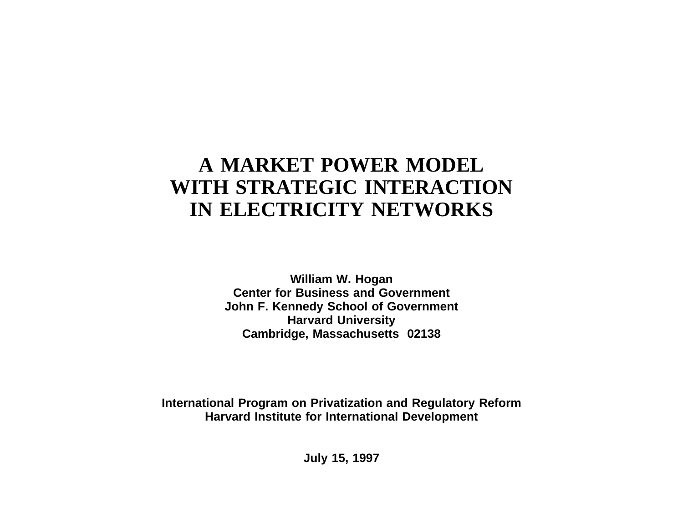# **A MARKET POWER MODEL WITH STRATEGIC INTERACTIONIN ELECTRICITY NETWORKS**

**William W. Hogan Center for Business and GovernmentJohn F. Kennedy School of Government Harvard University Cambridge, Massachusetts 02138**

**International Program on Privatization and Regulatory Reform Harvard Institute for International Development**

**July 15, 1997**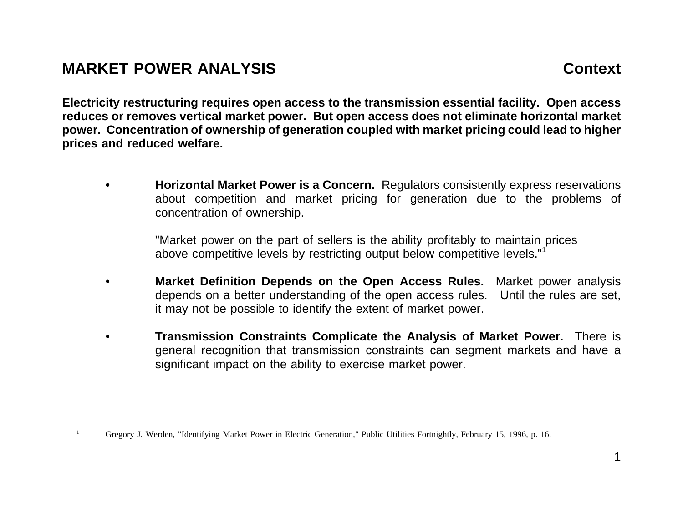1

Electricity restructuring requires open access to the transmission essential facility. Open access reduces or removes vertical market power. But open access does not eliminate horizontal market power. Concentration of ownership of generation coupled with market pricing could lead to higher **prices and reduced welfare.**

**• Horizontal Market Power is <sup>a</sup> Concern.** Regulators consistently express reservations about competition and market pricing for generation due to the problems of concentration of ownership.

"Market power on the part of sellers is the ability profitably to maintain prices above competitive levels by restricting output below competitive levels."<sup>1</sup>

- • **Market Definition Depends on the Open Access Rules.** Market power analysis depends on <sup>a</sup> better understanding of the open access rules. Until the rules are set, it may not be possible to identify the extent of market power.
- • **Transmission Constraints Complicate the Analysis of Market Power.** There is general recognition that transmission constraints can segment markets and have <sup>a</sup> significant impact on the ability to exercise market power.

Gregory J. Werden, "Identifying Market Power in Electric Generation," Public Utilities Fortnightly, February 15, 1996, p. 16.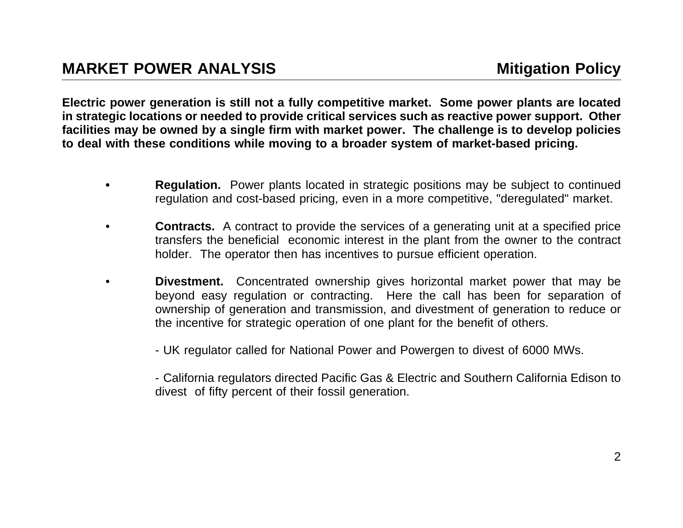Electric power generation is still not a fully competitive market. Some power plants are located in strategic locations or needed to provide critical services such as reactive power support. Other facilities may be owned by a single firm with market power. The challenge is to develop policies to deal with these conditions while moving to a broader system of market-based pricing.

- **•Regulation.** Power plants located in strategic positions may be subject to continued regulation and cost-based pricing, even in <sup>a</sup> more competitive, "deregulated" market.
- • **Contracts.** A contract to provide the services of <sup>a</sup> generating unit at <sup>a</sup> specified price transfers the beneficial economic interest in the plant from the owner to the contract holder. The operator then has incentives to pursue efficient operation.
- • **Divestment.** Concentrated ownership gives horizontal market power that may be beyond easy regulation or contracting. Here the call has been for separation of ownership of generation and transmission, and divestment of generation to reduce or the incentive for strategic operation of one plant for the benefit of others.
	- UK regulator called for National Power and Powergen to divest of 6000 MWs.

- California regulators directed Pacific Gas & Electric and Southern California Edison to divest of fifty percent of their fossil generation.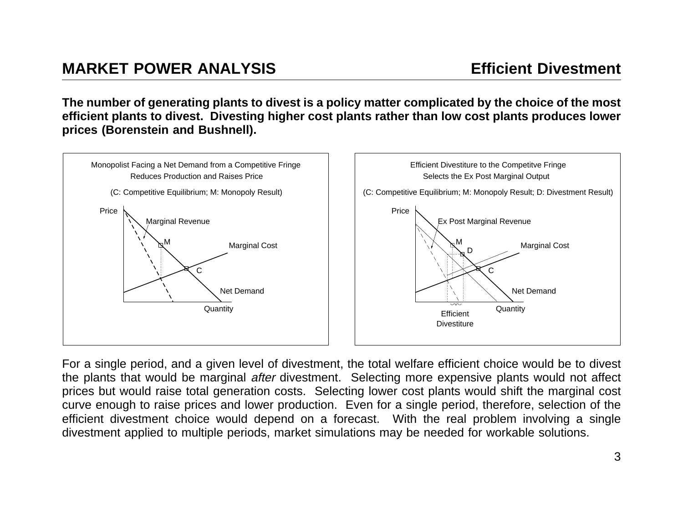The number of generating plants to divest is a policy matter complicated by the choice of the most efficient plants to divest. Divesting higher cost plants rather than low cost plants produces lower **prices (Borenstein and Bushnell).**



For <sup>a</sup> single period, and <sup>a</sup> given level of divestment, the total welfare efficient choice would be to divest the plants that would be marginal after divestment. Selecting more expensive plants would not affect prices but would raise total generation costs. Selecting lower cost plants would shift the marginal cost curve enough to raise prices and lower production. Even for <sup>a</sup> single period, therefore, selection of the efficient divestment choice would depend on <sup>a</sup> forecast. With the real problem involving <sup>a</sup> single divestment applied to multiple periods, market simulations may be needed for workable solutions.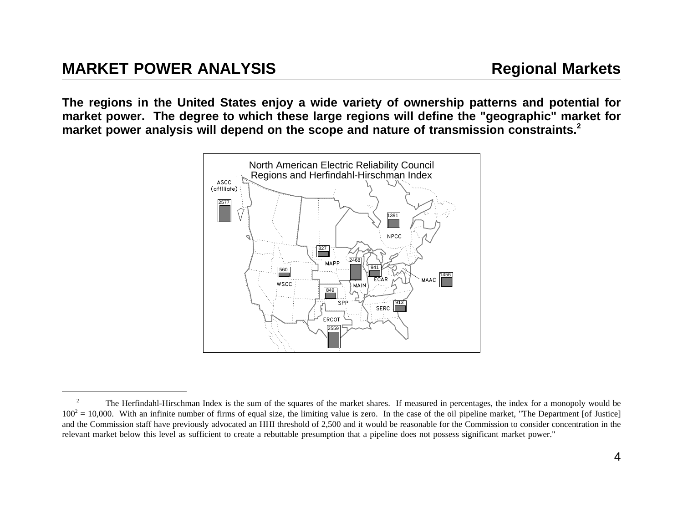The regions in the United States enjoy a wide variety of ownership patterns and potential for market power. The degree to which these large regions will define the "geographic" market for market power analysis will depend on the scope and nature of transmission constraints.<sup>2</sup>



<sup>2</sup> The Herfindahl-Hirschman Index is the sum of the squares of the market shares. If measured in percentages, the index for <sup>a</sup> monopoly would be  $100^2 = 10,000$ . With an infinite number of firms of equal size, the limiting value is zero. In the case of the oil pipeline market, "The Department [of Justice] and the Commission staff have previously advocated an HHI threshold of 2,500 and it would be reasonable for the Commission to consider concentration in the relevant market below this level as sufficient to create <sup>a</sup> rebuttable presumption that <sup>a</sup> pipeline does not possess significant market power."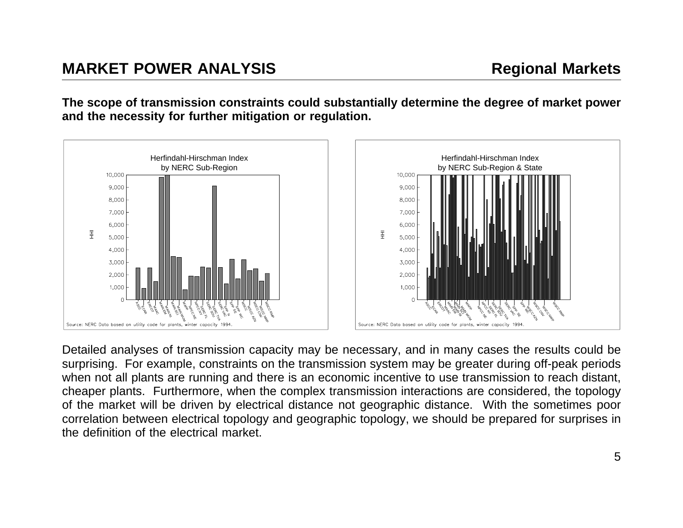The scope of transmission constraints could substantially determine the degree of market power **and the necessity for further mitigation or regulation.**



Detailed analyses of transmission capacity may be necessary, and in many cases the results could be surprising. For example, constraints on the transmission system may be greater during off-peak periods when not all plants are running and there is an economic incentive to use transmission to reach distant, cheaper plants. Furthermore, when the complex transmission interactions are considered, the topology of the market will be driven by electrical distance not geographic distance. With the sometimes poor correlation between electrical topology and geographic topology, we should be prepared for surprises in the definition of the electrical market.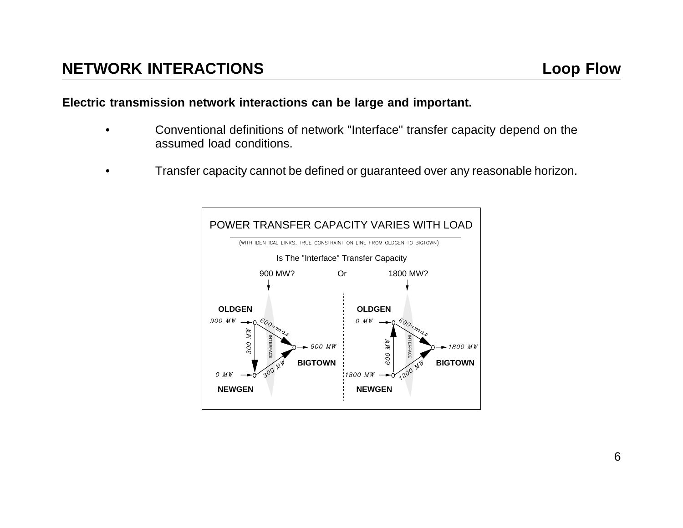#### **Electric transmission network interactions can be large and important.**

- • Conventional definitions of network "Interface" transfer capacity depend on the assumed load conditions.
- •Transfer capacity cannot be defined or guaranteed over any reasonable horizon.

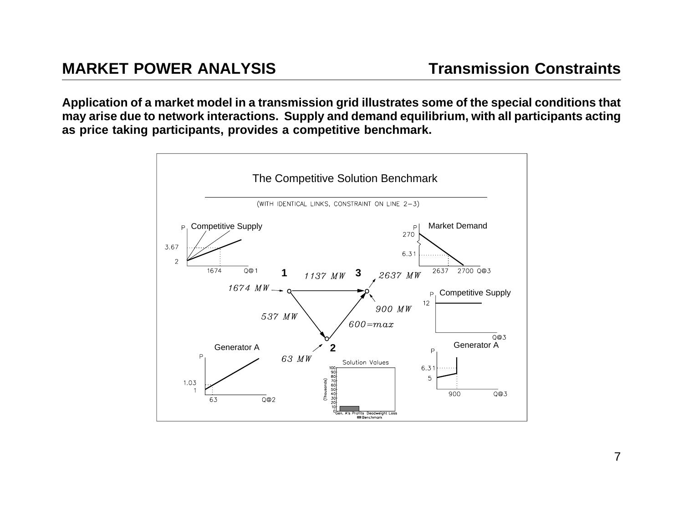Application of a market model in a transmission grid illustrates some of the special conditions that may arise due to network interactions. Supply and demand equilibrium, with all participants acting **as price taking participants, provides <sup>a</sup> competitive benchmark.**

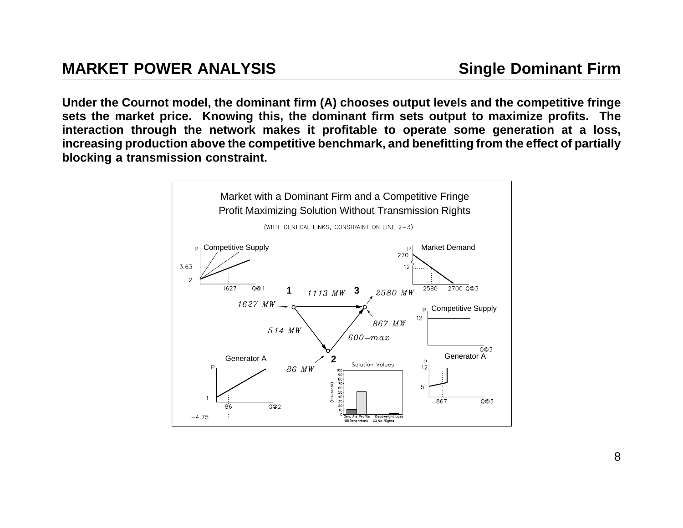Under the Cournot model, the dominant firm (A) chooses output levels and the competitive fringe sets the market price. Knowing this, the dominant firm sets output to maximize profits. The interaction through the network makes it profitable to operate some generation at a loss, increasing production above the competitive benchmark, and benefitting from the effect of partially **blocking <sup>a</sup> transmission constraint.**

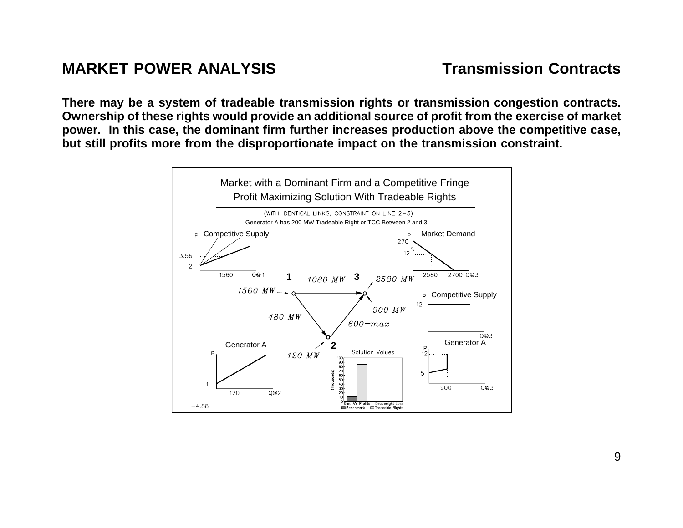There may be a system of tradeable transmission rights or transmission congestion contracts. Ownership of these rights would provide an additional source of profit from the exercise of market power. In this case, the dominant firm further increases production above the competitive case, but still profits more from the disproportionate impact on the transmission constraint.

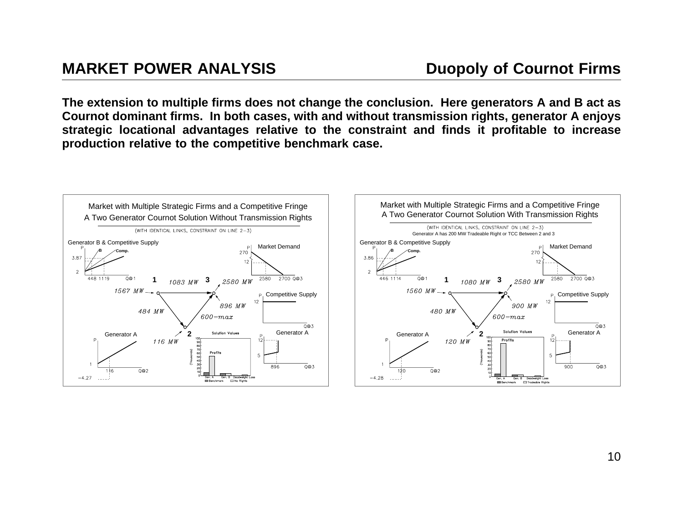The extension to multiple firms does not change the conclusion. Here generators A and B act as Cournot dominant firms. In both cases, with and without transmission rights, generator A enjoys strategic locational advantages relative to the constraint and finds it profitable to increase **production relative to the competitive benchmark case.**



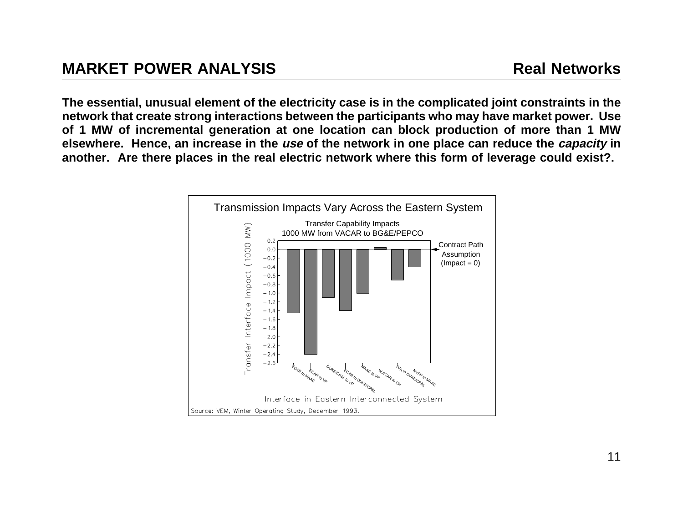The essential, unusual element of the electricity case is in the complicated joint constraints in the network that create strong interactions between the participants who may have market power. Use of 1 MW of incremental generation at one location can block production of more than 1 MW elsewhere. Hence, an increase in the use of the network in one place can reduce the capacity in another. Are there places in the real electric network where this form of leverage could exist?.

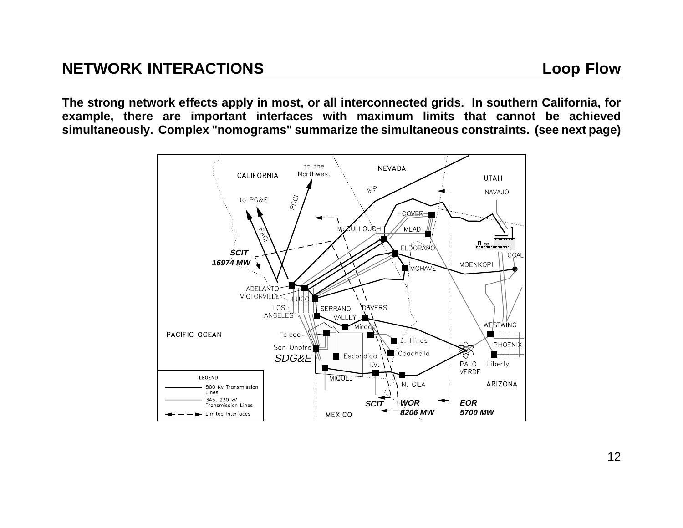The strong network effects apply in most, or all interconnected grids. In southern California, for example, there are important interfaces with maximum limits that cannot be achieved **simultaneously. Complex "nomograms" summarize the simultaneous constraints. (see next page)**

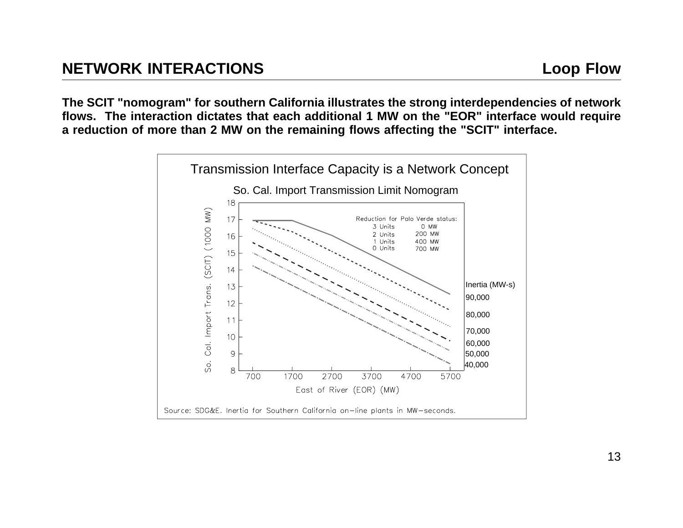The SCIT "nomogram" for southern California illustrates the strong interdependencies of network flows. The interaction dictates that each additional 1 MW on the "EOR" interface would require a reduction of more than 2 MW on the remaining flows affecting the "SCIT" interface.

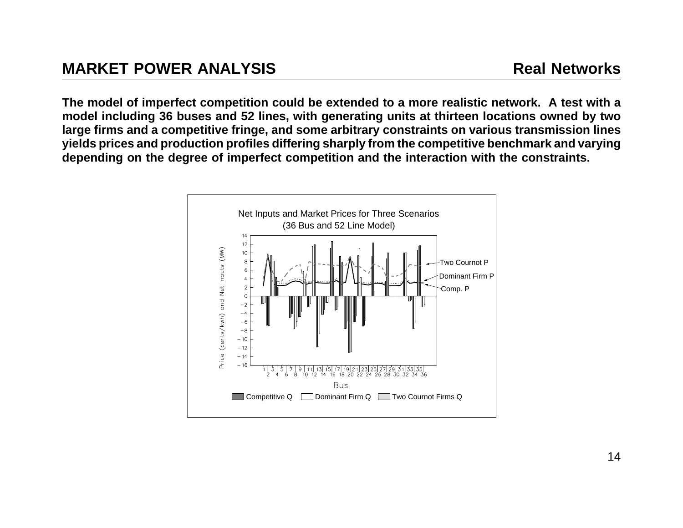The model of imperfect competition could be extended to a more realistic network. A test with a model including 36 buses and 52 lines, with generating units at thirteen locations owned by two large firms and a competitive fringe, and some arbitrary constraints on various transmission lines yields prices and production profiles differing sharply from the competitive benchmark and varying depending on the degree of imperfect competition and the interaction with the constraints.

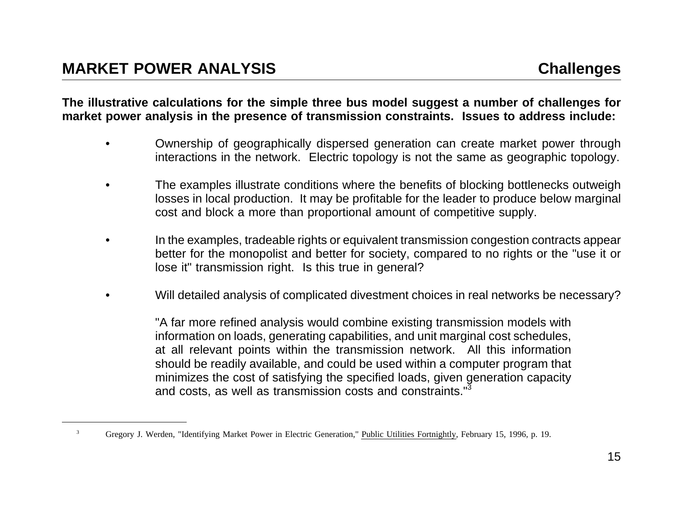The illustrative calculations for the simple three bus model suggest a number of challenges for market power analysis in the presence of transmission constraints. Issues to address include:

- • Ownership of geographically dispersed generation can create market power through interactions in the network. Electric topology is not the same as geographic topology.
- • The examples illustrate conditions where the benefits of blocking bottlenecks outweigh losses in local production. It may be profitable for the leader to produce below marginal cost and block <sup>a</sup> more than proportional amount of competitive supply.
- • In the examples, tradeable rights or equivalent transmission congestion contracts appear better for the monopolist and better for society, compared to no rights or the "use it or lose it" transmission right. Is this true in general?
- •Will detailed analysis of complicated divestment choices in real networks be necessary?

"A far more refined analysis would combine existing transmission models with information on loads, generating capabilities, and unit marginal cost schedules, at all relevant points within the transmission network. All this information should be readily available, and could be used within <sup>a</sup> computer program that minimizes the cost of satisfying the specified loads, given generation capacity and costs, as well as transmission costs and constraints."<sup>3</sup>

<sup>3</sup>Gregory J. Werden, "Identifying Market Power in Electric Generation," Public Utilities Fortnightly, February 15, 1996, p. 19.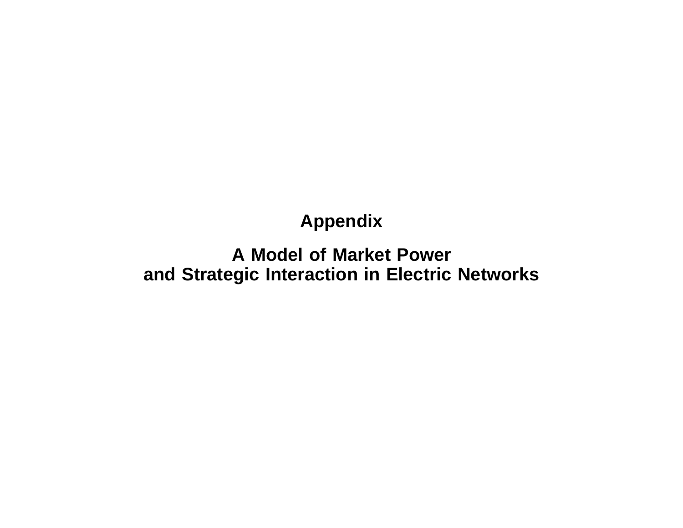## **Appendix**

## **A Model of Market Powerand Strategic Interaction in Electric Networks**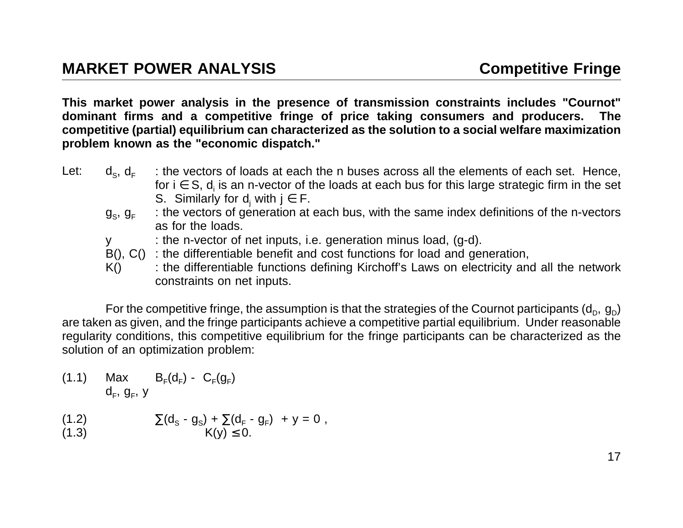This market power analysis in the presence of transmission constraints includes "Cournot" dominant firms and a competitive fringe of price taking consumers and producers. The competitive (partial) equilibrium can characterized as the solution to a social welfare maximization **problem known as the "economic dispatch."**

- $Let:$  $\mathsf{d}_{\scriptscriptstyle \mathsf{S}},\,\mathsf{d}_{\mathsf{F}}$  : the vectors of loads at each the <sup>n</sup> buses across all the elements of each set. Hence, for i ∈ S, d<sub>i</sub> is an n-vector of the loads at each bus for this large strategic firm in the set S. Similarly for  $\mathsf{d}_{_\mathrm{j}}$  with j  $\in$  F.
	- $\mathfrak{g}_{\rm s}$ ,  $\mathfrak{g}_{\scriptscriptstyle \mathsf{F}}$  : the vectors of generation at each bus, with the same index definitions of the n-vectors as for the loads.
	- y : the n-vector of net inputs, i.e. generation minus load, (g-d).
	- $B()$ ,  $C()$ : the differentiable benefit and cost functions for load and generation,
	- K() : the differentiable functions defining Kirchoff's Laws on electricity and all the network constraints on net inputs.

For the competitive fringe, the assumption is that the strategies of the Cournot participants (d<sub>p</sub>, g<sub>p</sub>) are taken as given, and the fringe participants achieve <sup>a</sup> competitive partial equilibrium. Under reasonable regularity conditions, this competitive equilibrium for the fringe participants can be characterized as the solution of an optimization problem:

- $(1.1)$  Max  $B_F(d_F) C_F(g_F)$  $d_F$ ,  $g_F$ , y
- $(1.2)$  $\sum (d_{\rm s} - g_{\rm s}) + \sum (d_{\rm F} - g_{\rm F}) + y = 0$ ,
- (1.3)  $K(y) \le 0$ .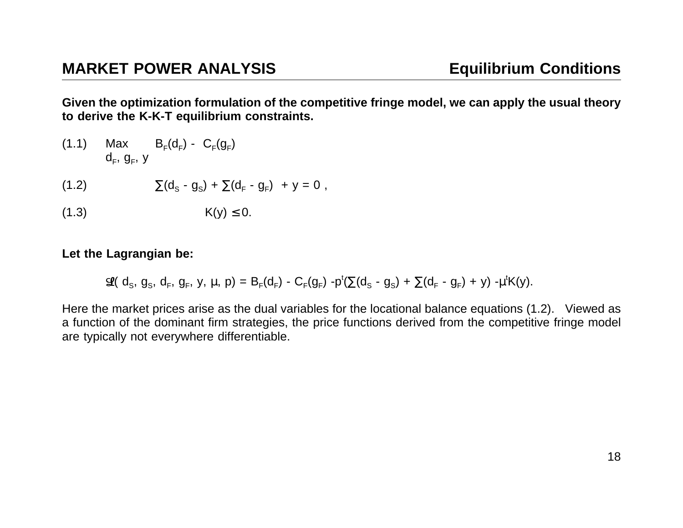Given the optimization formulation of the competitive fringe model, we can apply the usual theory **to derive the K-K-T equilibrium constraints.**

- $(1.1)$  Max  $B_F(d_F) C_F(q_F)$  $d_{F}$ ,  $g_{F}$ , y
- $(1.2)$  $\sum(d_{\text{S}} - g_{\text{S}}) + \sum(d_{\text{F}} - g_{\text{F}}) + y = 0$ ,
- $(1.3)$ ≤ 0.

#### **Let the Lagrangian be:**

$$
\mathfrak{L}(d_S, g_S, d_F, g_F, y, \mu, p) = B_F(d_F) - C_F(g_F) - p^t(\Sigma(d_S - g_S) + \Sigma(d_F - g_F) + y) - \mu^t K(y).
$$

Here the market prices arise as the dual variables for the locational balance equations (1.2). Viewed as <sup>a</sup> function of the dominant firm strategies, the price functions derived from the competitive fringe model are typically not everywhere differentiable.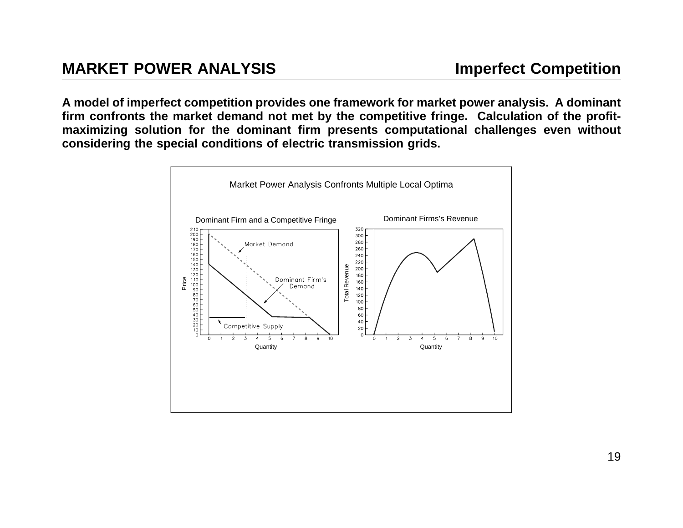A model of imperfect competition provides one framework for market power analysis. A dominant firm confronts the market demand not met by the competitive fringe. Calculation of the profitmaximizing solution for the dominant firm presents computational challenges even without **considering the special conditions of electric transmission grids.**

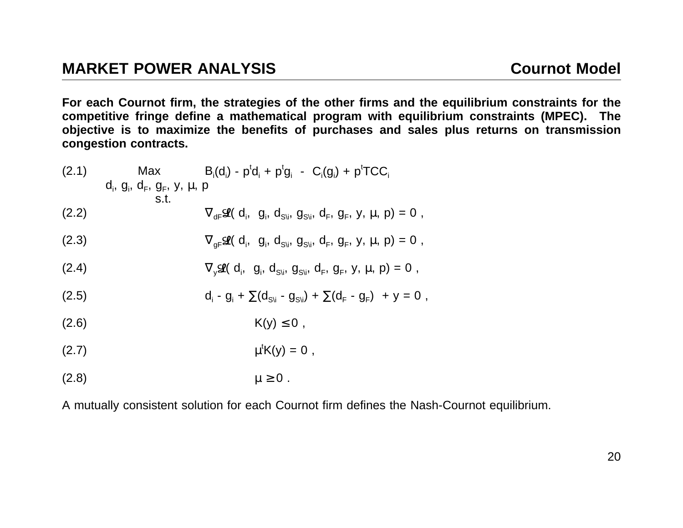(2.8)  $\mu \ge 0$ .

For each Cournot firm, the strategies of the other firms and the equilibrium constraints for the competitive fringe define a mathematical program with equilibrium constraints (MPEC). The objective is to maximize the benefits of purchases and sales plus returns on transmission **congestion contracts.**

(2.1) Max B<sub>i</sub>(d<sub>i</sub>) - p<sup>t</sup>d<sub>i</sub> + p<sup>t</sup>g<sub>i</sub> - C<sub>i</sub>(g<sub>i</sub>) + p<sup>t</sup>TCC<sub>i</sub>  
\nd<sub>i</sub>, g<sub>i</sub>, d<sub>F</sub>, g<sub>F</sub>, y, µ, p  
\ns.t. 
$$
V_{df} \mathcal{L}(d_i, g_i, d_{S_i}, g_{S_i}, d_F, g_F, y, \mu, p) = 0,
$$
\n(2.3) 
$$
V_{gf} \mathcal{L}(d_i, g_i, d_{S_i}, g_{S_i}, d_F, g_F, y, \mu, p) = 0,
$$
\n(2.4) 
$$
V_{y} \mathcal{L}(d_i, g_i, d_{S_i}, g_{S_i}, d_F, g_F, y, \mu, p) = 0,
$$
\n(2.5) 
$$
d_i - g_i + \sum(d_{S_i} - g_{S_i}) + \sum(d_F - g_F) + y = 0,
$$
\n(2.6) 
$$
K(y) \le 0,
$$
\n(2.7) 
$$
\mu^t K(y) = 0,
$$

A mutually consistent solution for each Cournot firm defines the Nash-Cournot equilibrium.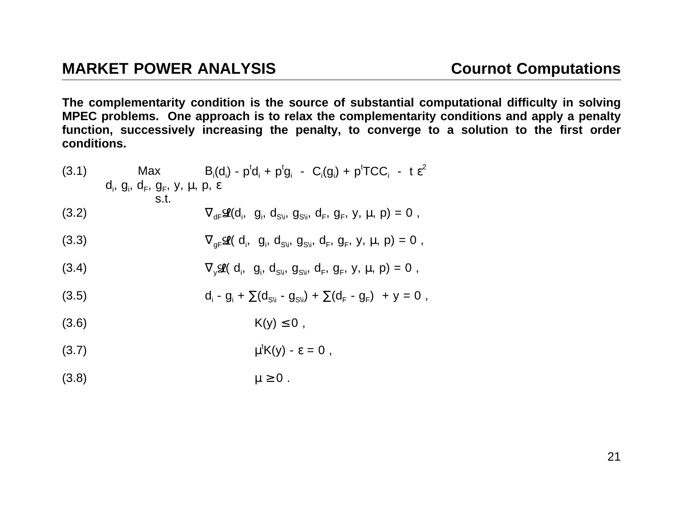The complementarity condition is the source of substantial computational difficulty in solving MPEC problems. One approach is to relax the complementarity conditions and apply a penalty function, successively increasing the penalty, to converge to a solution to the first order **conditions.**

(3.1) Max B<sub>i</sub>(d<sub>i</sub>) - p<sup>t</sup>d<sub>i</sub> + p<sup>t</sup>g<sub>i</sub> - C<sub>i</sub>(g<sub>i</sub>) + p<sup>t</sup>TCC<sub>i</sub> - t 
$$
\varepsilon^2
$$
  
\nd<sub>i</sub>, g<sub>i</sub>, d<sub>F</sub>, g<sub>F</sub>, y, µ, p,  $\varepsilon$   
\ns.t.  
\n(3.2)  $\nabla_{df} \mathcal{Q}(d_i, g_i, d_{S_i}, g_{S_i}, d_F, g_F, y, \mu, p) = 0$ ,  
\n(3.3)  $\nabla_{gf} \mathcal{Q}(d_i, g_i, d_{S_i}, g_{S_i}, d_F, g_F, y, \mu, p) = 0$ ,  
\n(3.4)  $\nabla_y \mathcal{Q}(d_i, g_i, d_{S_i}, g_{S_i}, d_F, g_F, y, \mu, p) = 0$ ,  
\n(3.5)  $d_i - g_i + \sum(d_{S_i} - g_{S_i}) + \sum(d_F - g_F) + y = 0$ ,  
\n(3.6)  $\kappa(y) \le 0$ ,  
\n(3.7)  $\mu^t K(y) - \varepsilon = 0$ ,

$$
(3.8) \t\t \mu \geq 0.
$$